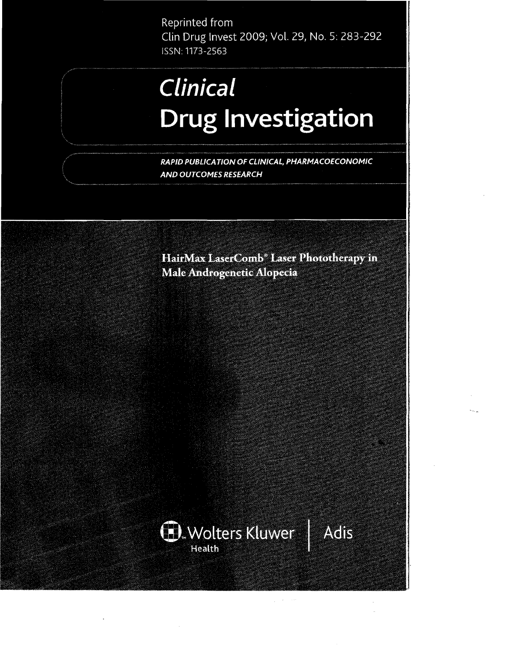Reprinted from Clin Drug Invest 2009; Vol. 29, No. 5: 283-292 ISSN: 1173-2563

# Clinical **Drug Investigation**

RAPID PUBLICATION OF CLINICAL, PHARMACOECONOMIC AND OUTCOMES RESEARCH

HairMax LaserComb® Laser Phototherapy in Male Androgenetic Alopecia



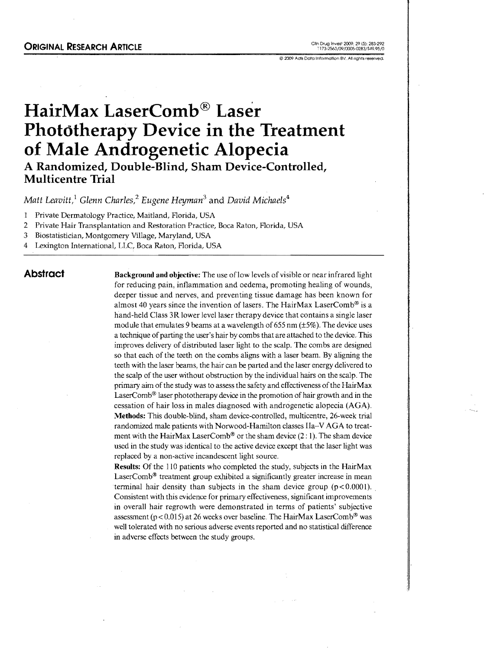© 2009 Adis Data Information BV. All rights reserved

## **HairMax LaserComb® Laser Phototherapy Device in the Treatment of Male Androgenetic Alopecia**  A **Randomized, Double-Blind, Sham Device-Controlled, Multicentre Trial**

*Matt Leavitt*,<sup>1</sup> Glenn Charles,<sup>2</sup> Eugene Heyman<sup>3</sup> and David Michaels<sup>4</sup>

1 Private Dermatology Practice, Maitland, Florida, USA

2 Private Hair Transplantation and Restoration Practice, Boca Raton, Florida, USA

3 Biostatistician, Montgomery Village, Maryland, USA

4 Lexington International, LLC, Boca Raton, Florida, USA

**Abstract** Background and objective: The use of low levels of visible or near infrared light for reducing pain, inflammation and oedema, promoting healing of wounds, deeper tissue and nerves, and preventing tissue damage has been known for almost 40 years since the invention of lasers. The HairMax LaserComb<sup>®</sup> is a hand-held Class 3R lower level laser therapy device that contains a single laser module that emulates 9 beams at a wavelength of  $655 \text{ nm}$  ( $\pm 5\%$ ). The device uses a technique of parting the user's hair by combs that are attached to the device. This improves delivery of distributed laser light to the scalp. The combs are designed so that each of the teeth on the combs aligns with a laser beam. By aligning the teeth with the laser beams, the hair can be parted and the laser energy delivered to the scalp of the user without obstruction by the individual hairs on the scalp. The primary aim of the study was to assess the safety and effectiveness of the HairMax LaserComb® laser phototherapy device in the promotion of hair growth and in the cessation of hair loss in males diagnosed with androgenetic alopecia (AGA). Methods: This double-blind, sham device-controlled, multicentre, 26-week trial randomized male patients with Norwood-Hamilton classes IIa-V AGA to treatment with the HairMax LaserComb<sup>®</sup> or the sham device  $(2:1)$ . The sham device used in the study was identical to the active device except that the laser light was replaced by a non-active incandescent light source.

> Results: Of the 110 patients who completed the study, subjects in the HairMax LaserComb<sup>®</sup> treatment group exhibited a significantly greater increase in mean terminal hair density than subjects in the sham device group  $(p < 0.0001)$ . Consistent with this evidence for primary effectiveness, significant improvements in overall hair regrowth were demonstrated in terms of patients' SUbjective assessment ( $p < 0.015$ ) at 26 weeks over baseline. The HairMax LaserComb<sup>®</sup> was well tolerated with no serious adverse events reported and no statistical difference in adverse effects between the study groups.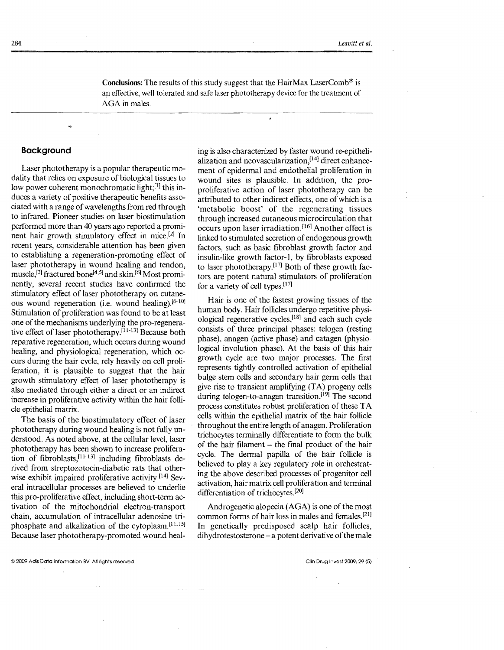**Conclusions:** The results of this study suggest that the Hair Max LaserComb<sup>®</sup> is an effective, well tolerated and safe laser phototherapy device for the treatment of AGA in males.

#### **Background**

 $\mathbf{v}_i$ 

Laser phototherapy is a popular therapeutic modality that relies on exposure of biological tissues to low power coherent monochromatic light;<sup>[1]</sup> this induces a variety of positive therapeutic benefits associated with a range of wavelengths from red through to infrared. Pioneer studies on laser biostimulation performed more than 40 years ago reported a prominent hair growth stimulatory effect in mice.<sup>[2]</sup> In recent years, considerable attention has been given to establishing a regeneration-promoting effect of laser phototherapy in wound healing and tendon, muscle,<sup>[3]</sup> fractured bone<sup>[4,5]</sup> and skin.<sup>[6]</sup> Most prominently, several recent studies have confirmed the stimulatory effect of laser phototherapy on cutaneous wound regeneration (i.e. wound healing).<sup>[6-10]</sup> Stimulation of proliferation was found to be at least one of the mechanisms underlying the pro-regenerative effect of laser phototherapy.<sup>[11-13]</sup> Because both reparative regeneration, which occurs during wound healing, and physiological regeneration, which occurs during the hair cycle, rely heavily on cell proliferation, it is plausible to suggest that the hair growth stimulatory effect of laser phototherapy is also mediated through either a direct or an indirect increase in proliferative activity within the hair follicle epithelial matrix.

The basis of the biostimulatory effect of laser phototherapy during wound healing is not fully understood. As noted above, at the cellular level, laser phototherapy has been shown to increase proliferation of fibroblasts.<sup>[11-13]</sup> including fibroblasts derived from streptozotocin-diabetic rats that otherwise exhibit impaired proliferative activity.<sup>[14]</sup> Several intracellular processes are believed to underlie this pro-proliferative effect, including short-term activation of the mitochondrial electron-transport chain, accumulation of intracellular adenosine triphosphate and alkalization of the cytoplasm. $[11,15]$ Because laser phototherapy-promoted wound healing is also characterized by faster wound re-epithelialization and neovascularization,  $[14]$  direct enhancement of epidermal and endothelial proliferation in wound sites is plausible. In addition, the proproliferative action of laser phototherapy can be attributed to other indirect effects, one ofwhich is a 'metabolic boost' of the regenerating tissues through increased cutaneous microcirculation that occurs upon laser irradiation.<sup>[16]</sup> Another effect is linked to stimulated secretion of endogenous growth factors, such as basic fibroblast growth factor and insulin-like growth factor-I, by fibroblasts exposed to laser phototherapy.<sup>[17]</sup> Both of these growth factors are potent natural stimulators of proliferation for a variety of cell types.<sup>[17]</sup>

Hair is one of the fastest growing tissues of the human body. Hair follicles undergo repetitive physiological regenerative cycles,[18] and each such cycle consists of three principal phases: telogen (resting phase), anagen (active phase) and catagen (physiological involution phase). At the basis of this hair growth cycle are two major processes. The first represents tightly controlled activation of epithelial bulge stem cells and secondary hair germ cells that give rise to transient amplifying (TA) progeny cells during telogen-to-anagen transition.<sup>[19]</sup> The second process constitutes robust proliferation of these TA cells within the epithelial matrix of the hair follicle throughout the entire length of anagen. Proliferation trichocytes tenninally differentiate to form the bulk of the hair filament  $-$  the final product of the hair cycle. The dermal papilla of the hair follicle is believed to play a key regulatory role in orchestrating the above described processes of progenitor cell activation, hair matrix cell proliferation and tenninal differentiation of trichocytes.<sup>[20]</sup>

Androgenetic alopecia (AGA) is one of the most common forms of hair loss in males and females. $[21]$ In genetically predisposed scalp hair follicles,  $dipdrotest$  osterone  $-\alpha$  potent derivative of the male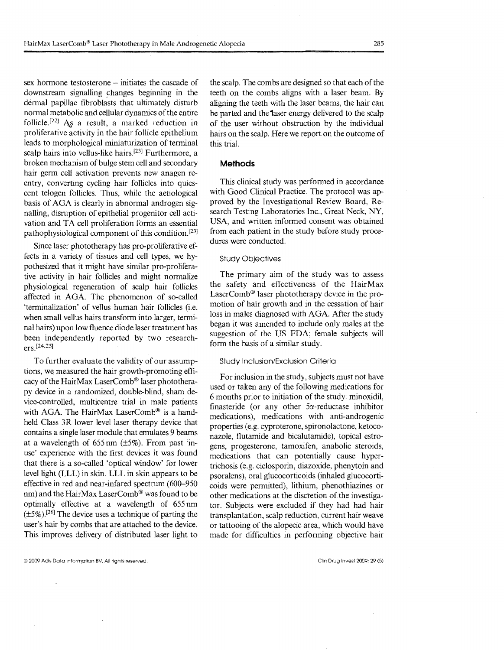sex hormone testosterone - initiates the cascade of downstream signalling changes beginning in the dermal papillae fibroblasts that ultimately disturb normal metabolic and cellular dynamics of the entire follicle.<sup>[22]</sup> As a result, a marked reduction in proliferative activity in the hair follicle epithelium leads to morphological miniaturization of terminal scalp hairs into vellus-like hairs.<sup>[23]</sup> Furthermore, a broken mechanism of bulge stem cell and secondary hair germ cell activation prevents new anagen reentry, converting cycling hair follicles into quiescent telogen follicles. Thus, while the aetiological basis of AGA is clearly in abnormal androgen signalling, disruption of epithelial progenitor cell activation and TA cell proliferation forms an essential pathophysiological component of this condition. [23]

Since laser phototherapy has pro-proliferative effects in a variety of tissues and cell types, we hypothesized that it might have similar pro-proliferative activity in hair follicles and might normalize physiological regeneration of scalp hair follicles affected in AGA The phenomenon of so-called 'terminalization' of vellus human hair follicles (i.e. when small vellus hairs transform into larger, terminal hairs) upon low fluence diode laser treatment has been independently reported by two researchers.[24,25]

To further evaluate the validity of our assumptions, we measured the hair growth-promoting efficacy of the HairMax LaserComb<sup>®</sup> laser phototherapy device in a randomized, double-blind, sham device-controlled, multicentre trial in male patients with AGA. The HairMax LaserComb® is a handheld Class 3R lower level laser therapy device that contains a single laser module that emulates 9 beams at a wavelength of 655nm (±5%). From past 'inuse' experience with the first devices it was found that there is a so-called 'optical window' for lower level light (LLL) in skin. **LLL** in skin appears to be effective in red and near-infared spectrum (600-950 nm) and the HairMax LaserComb® was found to be optimally effective at a wavelength of 655 nm  $(\pm 5\%)$ <sup>[26]</sup> The device uses a technique of parting the user's hair by combs that are attached to the device. This improves delivery of distributed laser light to the scalp. The combs are designed so that each of the teeth on the combs aligns with a laser beam. By aligning the teeth with the laser beams, the hair can be parted and the laser energy delivered to the scalp of the user without obstruction by the individual hairs on the scalp. Here we report on the outcome of this triaL

#### **Methods**

This clinical study was performed in accordance with Good Clinical Practice. The protocol was approved by the Investigational Review Board, Research Testing Laboratories Inc., Great Neck, NY, USA, and written infonned consent was obtained from each patient in the study before study procedures were conducted.

#### Study Objectives

The primary aim of the study was to assess the safety and effectiveness of the HairMax LaserComb® laser phototherapy device in the promotion of hair growth and in the cessation of hair loss in males diagnosed with AGA. After the study began it was amended to include only males at the suggestion of the US FDA; female subjects will form the basis of a similar study.

#### Study Inclusion/Exclusion Criteria

For inclusion in the study, subjects must not have used or taken any of the following medications for 6 months prior to initiation of the study: minoxidil, finasteride (or any other  $5\alpha$ -reductase inhibitor medications), medications with anti-androgenic properties (e.g. cyproterone, spironolactone, ketoconazole, flutamide and bicalutamide), topical estrogens, progesterone, tamoxifen, anabolic steroids, medications that can potentially cause hypertrichosis (e.g. ciclosporin, diazoxide, phenytoin and psoralens), oral glucocorticoids (inhaled glucocorticoids were pennitted), lithium, phenothiazines or other medications at the discretion of the investigator. Subjects were excluded if they had had hair transplantation, scalp reduction, current hair weave or tattooing of the alopecic area, which would have made for difficulties in perfonning objective hair

© 2009 Adis Data Information fN. All rights reserved.

 $\sim$  .

Clin Drug Invest 2009; 29 (5)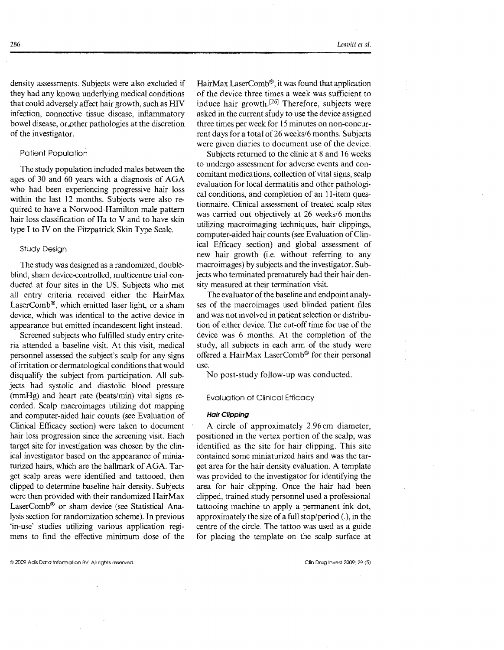density assessments. Subjects were also excluded if they had any known underlying medical conditions that could adversely affect hair growth, such as HIV infection, connective tissue disease, inflammatory bowel disease, or other pathologies at the discretion of the investigator.

#### Patient Population

The study population included males between the ages of 30 and 60 years with a diagnosis of AGA who had been experiencing progressive hair loss within the last 12 months. Subjects were also required to have a Norwood-Hamilton male pattern hair loss classification of IIa to V and to have skin type I to IV on the Fitzpatrick Skin Type Scale.

#### Study Design

The study was designed as a randomized, doubleblind, sham device-controlled, multicentre trial conducted at four sites in the US. Subjects who met all entry criteria received either the HairMax LaserComb®, which emitted laser light, or a sham device, which was identical to the active device in appearanee but emitted incandeseent light instead.

Screened subjects who fulfilled study entry criteria attended a baseline visit. At this visit, medical personnel assessed the subject's scalp for any signs of irritation or dermatological conditions that would disqualify the subject from participation. All subjects had systolic and diastolic blood pressure (mmHg) and heart rate (beats/min) vital signs recorded. Scalp macroimages utilizing dot mapping and computer-aided hair counts (see Evaluation of Clinical Efficacy section) were taken to document hair loss progression sinee the screening visit. Each target site for investigation was chosen by the clinical investigator based on the appearance of miniaturized hairs, which are the hallmark of AGA. Target scalp areas were identified and tattooed, then clipped to determine baseline hair density. Subjects were then provided with their randomized HairMax LaserComb® or sham device (see Statistical Analysis section for randomization scheme). In previous 'in-use' studies utilizing various application regimens to find the effective minimum dose of the

HairMax LaserComb®, it was found that application of the device three times a week was sufficient to induce hair growth.<sup>[26]</sup> Therefore, subjects were asked in the current sfudy to use the device assigned three times per week for 15 minutes on non-concurrent days for a total of 26 weeks/6 months. Subjects were given diaries to document use of the device.

Subjects returned to the clinic at 8 and 16 weeks to undergo assessment for adverse events and concomitant medications, collection of vital signs, scalp evaluation for local dermatitis and other pathological conditions, and completion of an iI-item questionnaire. Clinical assessment of treated scalp sites was carried out objectively at 26 weeks/6 months utilizing macroimaging techniques, hair clippings, computer-aided hair counts (see Evaluation of Clinical Efficacy section) and global assessment of new hair growth (i.e. without referring to any macroimages) by subjects and the investigator. Subjects who terminated prematurely had their hair density measured at their termination visit.

The evaluator of the baseline and endpoint analyses of the macroimages used blinded patient files and was not involved in patient selection or distribution of either deviee. The cut-off time for use of the device was 6 months. At the completion of the study, all subjects in each arm of the study were offered a HairMax LaserComb® for their personal use.

No post-study follow-up was conducted.

#### Evaluation of Clinical Efficacy

#### Hair Clipping

A circle of approximately 2.96 cm diameter, positioned in the vertex portion of the scalp, was identified as the site for hair clipping. This site contained some miniaturized hairs and was the target area for the hair density evaluation. A template was provided to the investigator for identifying the area for hair clipping. Once the hair had been clipped, trained study personnel used a professional tattooing machine to apply a permanent ink dot, approximately the size of a full stop/period  $(.)$ , in the centre of the circle. The tattoo was used as a guide for placing the template on the scalp surface at

© 2009 Adi. Data information BV All righls reserved.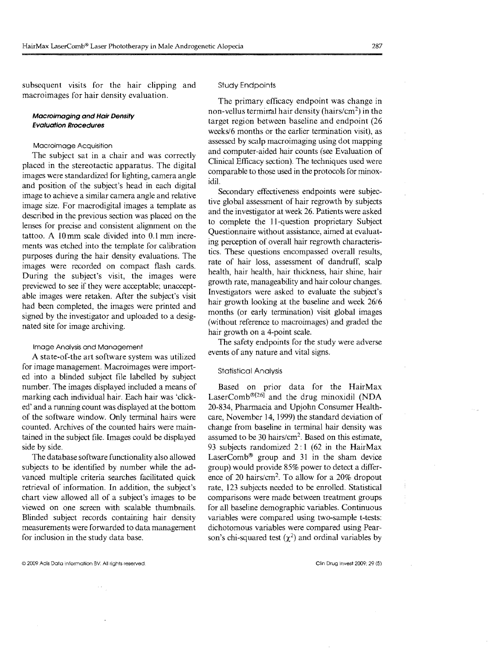subsequent visits for the hair clipping and macroimages for hair density evaluation.

#### **Macroimaging and Hair Density Evaluation Rrocedures**

#### Macroimage Acquisition

The subject sat in a chair and was correctly placed in the stereotactic apparatus. The digital images were standardized for lighting, camera angle and position of the subject's head in each digital image to achieve a similar camera angle and relative image size. For macrodigital images a template as described in the previous section was placed on the lenses for precise and consistent alignment on the tattoo. A 10 mm scale divided into 0.1 mm increments was etched into the template for calibration purposes during the hair density evaluations. The images were recorded on compact flash cards. During the subject's visit, the images were previewed to see if they were acceptable; unacceptable images were retaken. After the subject's visit had becn completed, the images were printed and signed by the investigator and uploaded to a designated site for image archiving.

#### Image Analysis and Management

A state-of-the art software system was utilized for image management. Macroimages were imported into a blinded subject file labelled by subject number. The images displayed included a means of marking each individual hair. Each hair was 'clicked' and a running count was displayed at the bottom of the software window. Only terminal hairs were counted. Archives of the counted hairs were maintained in the subject file. Images could be displayed side by side.

The database software functionality also allowed subjects to be identified by number while the advanced mUltiple criteria searches facilitated quick retrieval of information. In addition, the subject's chart view allowed all of a subject's images to be viewed on one screen with scalable thumbnails. Blinded subject records containing hair density measurements were forwarded to data management for inclusion in the study data base.

#### Study Endpoints

The primary efficacy endpoint was change in non-vellus terminal hair density (hairs/cm<sup>2</sup>) in the target region between baseline and endpoint (26 wecksl6 months or the earlier termination visit), as assessed by scalp macroimaging using dot mapping and computer-aided hair counts (sec Evaluation of Clinical Efficacy section). The techniques used were comparable to those used in the protocols for minoxidi!.

Secondary effectiveness endpoints were subjective global assessment of hair regrowth by subjects and the investigator at week 26. Patients were asked to complete the II-question proprietary Subject Questionnaire without assistance, aimed at evaluating perception of overall hair regrowth characteristics. These questions encompassed overall results, rate of hair loss, assessment of dandruff, scalp health, hair health, hair thickness, hair shine, hair growth rate, manageability and hair colour changes. Investigators were asked to evaluate the subject's hair growth looking at the baseline and week *26/6*  months (or early termination) visit global images (without reference to macroimages) and graded the hair growth on a 4-point scale.

The safety endpoints for the study were adverse events of any nature and vital signs.

#### Statistical Analysis

Based on prior data for the HairMax LaserComb®[26] and the drug minoxidil (NDA 20-834, Pharmacia and Upjohn Consumer Healthcare, November 14, 1999) the standard deviation of change from baseline in terminal hair density was assumed to be 30 hairs/cm2. Based on this estimate, 93 subjects randomized 2: 1 (62 in the HairMax LaserComb® group and 31 in the sham device group) would provide 85% power to detect a difference of 20 hairs/cm<sup>2</sup>. To allow for a  $20\%$  dropout rate, 123 subjects needed to be enrolled. Statistical comparisons were made between treatment groups for all baseline demographic variables. Continuous variables were compared using two-sample t-tests: dichotomous variables were compared using Pearson's chi-squared test  $(\chi^2)$  and ordinal variables by

@ 2009 Adis Data information BV. All rights reserved.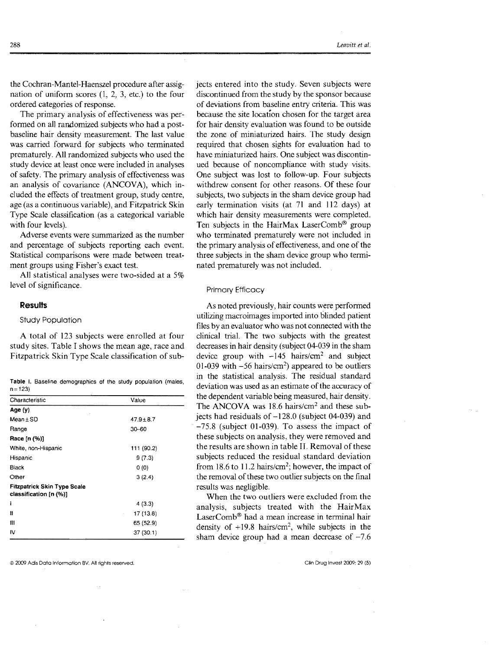the Cochran-Mantel-Haenszel procedure after assignation of uniform scores (1, 2, 3, etc.) to the four ordered categories of response.

The primary analysis of effectiveness was performed on all randomized subjects who had a postbaseline hair density measurement. The last value was carried forward for subjects who terminated prematurely. All randomized subjects who used the study device at least once were included in analyses of safety. The primary analysis of effectiveness was an analysis of covariance (ANCOVA), which included the effects of treatment group, study centre, age (as a continuous variable), and Fitzpatrick Skin Type Scale classification (as a categorical variable with four levels).

Adverse events were summarized as the number and percentage of subjects reporting each event. Statistical comparisons were made between treatment groups using Fisher's exact test.

All statistical analyses were two-sided at a 5% level of significance.

#### **Results**

#### Study Population

A total of 123 subjects were enrolled at four study sites. Table I shows the mean age, race and Fitzpatrick Skin Type Scale classification of sub-

|        | Table I. Baseline demographics of the study population (males, |  |  |  |
|--------|----------------------------------------------------------------|--|--|--|
| n=123) |                                                                |  |  |  |

| Characteristic                                               | Value          |  |  |
|--------------------------------------------------------------|----------------|--|--|
| Age (y)                                                      |                |  |  |
| $Mean \pm SD$                                                | $47.9 \pm 8.7$ |  |  |
| Range                                                        | $30 - 60$      |  |  |
| Race [n (%)]                                                 |                |  |  |
| White, non-Hispanic                                          | 111 (90.2)     |  |  |
| Hispanic                                                     | 9(7.3)         |  |  |
| Black                                                        | O(0)           |  |  |
| Other                                                        | 3(2.4)         |  |  |
| <b>Fitzpatrick Skin Type Scale</b><br>classification [n (%)] |                |  |  |
| ı                                                            | 4(3.3)         |  |  |
| π                                                            | 17(13.8)       |  |  |
| 111                                                          | 65 (52.9)      |  |  |
| IV                                                           | 37(30.1)       |  |  |

jects entered into the study. Seven subjects were discontinued from the study by the sponsor because of deviations from baseline entry criteria. This was because the site location chosen for the target area for hair density evaluation was found to be outside the zone of miniaturized hairs. The study design required that chosen sights for evaluation had to have miniaturized hairs. One subject was discontinued because of noncompliance with study visits. One subject was lost to follow-up. Four subjects withdrew consent for other reasons. Of these four subjects, two subjects in the sham device group had early termination visits (at 71 and 112 days) at which hair density measurements were completed. Ten subjects in the HairMax LaserComb® group who terminated prematurely were not included in the primary analysis of effectiveness, and one of the three subjects in the sham device group who terminated prematurely was not included.

#### Primary Efficacy

As noted previously, hair counts were performed utilizing macroimages imported into blinded patient files by an evaluator who was not connected with the clinical trial. The two subjects with the greatest decreases in hair density (subject 04-039 in the sham device group with  $-145$  hairs/cm<sup>2</sup> and subject 01-039 with  $-56$  hairs/cm<sup>2</sup>) appeared to be outliers in the statistical analysis. The residual standard deviation was used as an estimate of the accuracy of the dependent variable being measured, hair density. The ANCOVA was 18.6 hairs/cm<sup>2</sup> and these subjects had residuals of  $-128.0$  (subject 04-039) and -75.8 (subject 01-039). To assess the impact of these subjects on analysis, they were removed and the results are shown in table II. Removal of these subjects reduced the residual standard deviation from 18.6 to 11.2 hairs/ $\text{cm}^2$ ; however, the impact of the removal of these two outlier subjects on the final results was negligible.

When the two outliers were excluded from the analysis, subjects treated with the HairMax LaserComb® had a mean increase in terminal hair density of  $+19.8$  hairs/cm<sup>2</sup>, while subjects in the sham device group had a mean decrease of  $-7.6$ 

© 2009 Ad;s Data Information BV. All rights reserved.

Clin Drug Invest 2009; 29 (5)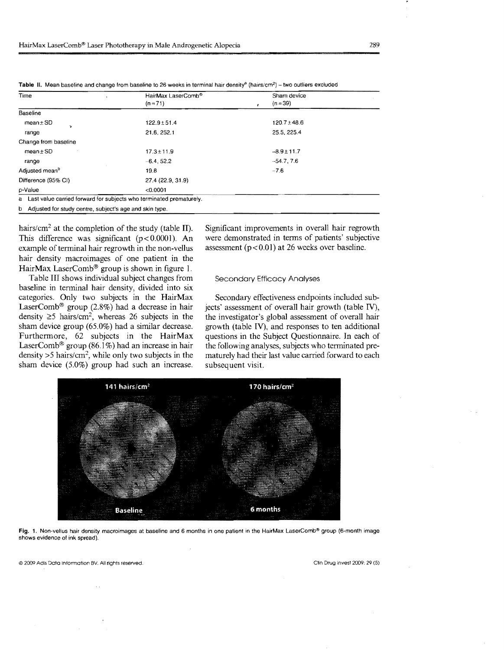| Time                                                      | HairMax LaserComb <sup>®</sup>                                        | Sham device      |  |
|-----------------------------------------------------------|-----------------------------------------------------------------------|------------------|--|
|                                                           | $(n = 71)$                                                            | $(n = 39)$       |  |
| Baseline                                                  |                                                                       |                  |  |
| $mean \pm SD$<br>÷.                                       | $122.9 \pm 51.4$                                                      | $120.7 \pm 48.6$ |  |
| range                                                     | 21.6, 252.1                                                           | 25.5, 225.4      |  |
| Change from baseline                                      |                                                                       |                  |  |
| $mean \pm SD$                                             | $17.3 \pm 11.9$                                                       | $-8.9 \pm 11.7$  |  |
| range                                                     | $-6.4$ , 52.2                                                         | $-54.7, 7.6$     |  |
| Adjusted mean <sup>b</sup>                                | 19.8                                                                  | $-7.6$           |  |
| Difference (95% CI)                                       | 27.4 (22.9, 31.9)                                                     |                  |  |
| p-Value                                                   | < 0.0001                                                              |                  |  |
|                                                           | a Last value carried forward for subjects who terminated prematurely. |                  |  |
| b Adjusted for study centre, subject's age and skin type. |                                                                       |                  |  |

**Table** II. Mean baseline and change from baseline to 26 weeks in terminal hair density" (hairs/cm2) - two outliers excluded

hairs/ $\text{cm}^2$  at the completion of the study (table II). This difference was significant (p< 0\_0001). An example of terminal hair regrowth in the non-vellus hair density macroimages of one patient in the HairMax LaserComb® group is shown in figure I.

Table **III** shows individual subject changes from baseline in terminal hair density, divided into six categories. Only two subjects in the HairMax LaserComb<sup>®</sup> group  $(2.8%)$  had a decrease in hair density  $\geq$ 5 hairs/cm<sup>2</sup>, whereas 26 subjects in the sham device group (65.0%) had a similar decrease. Furthermore, 62 subjects in the HairMax LaserComb<sup>®</sup> group (86.1%) had an increase in hair density  $>5$  hairs/cm<sup>2</sup>, while only two subjects in the sham device (5.0%) group had such an increase.

Significant improvements in overall hair regrowth were demonstrated in terms of patients' subjective assessment  $(p < 0.01)$  at 26 weeks over baseline.

#### Secondary Efficacy Analyses

Secondary effectiveness endpoints included subjects' assessment of overall hair growth (table IV), the investigator's global assessment of overall hair growth (table IV), and responses to ten additional questions in the Subject Questionnaire. In each of the following analyses, subjects who terminated prematurely had their last value carried forward to each subsequent visit.



Fig. 1. Non·vellus hair density macroimages at baseline and 6 months in one patient in the HairMax LaserComb® group (6-month image shows evidence of ink spread).

© 2009 Adis Data Information BV. All rights reserved. Clin Drug invest 2009; 29 (5)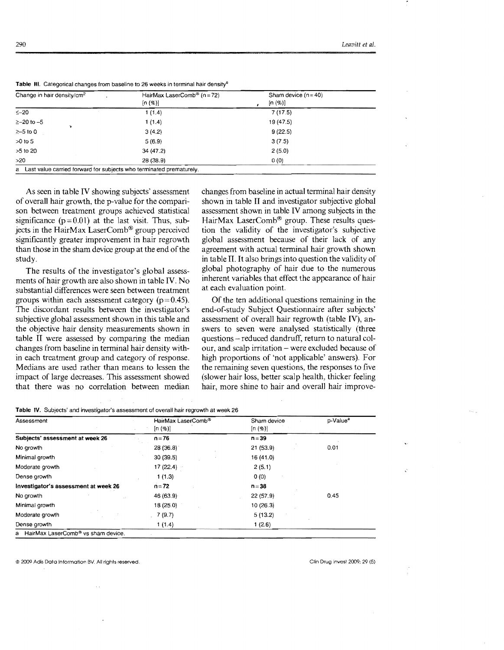| HairMax LaserComb <sup>®</sup> ( $n = 72$ )<br>[n (%)] | Sham device $(n = 40)$<br>[n (%)] |
|--------------------------------------------------------|-----------------------------------|
| 1(1,4)                                                 | 7(17.5)                           |
| 1(1.4)                                                 | 19 (47.5)                         |
| 3(4.2)                                                 | 9(22.5)                           |
| 5(6.9)                                                 | 3(7.5)                            |
| 34(47.2)                                               | 2(5.0)                            |
| 28(38.9)                                               | 0(0)                              |
|                                                        |                                   |

Table III. Categorical changes from baseline to 26 weeks in terminal hair density<sup>a</sup>

As seen in table IV showing subjects' assessment of overall hair growth, the p-value for the comparison between treatment groups achieved statistical significance  $(p=0.01)$  at the last visit. Thus, subjects in the HairMax LaserComb® group perceived significantly greater improvement in hair regrowth than those in the sham device group at the end of the study.

The results of the investigator's global assessments of hair growth are also shown in table IV. No substantial differences were seen between treatment groups within each assessment category  $(p=0.45)$ . The discordant results between the investigator's subjective global assessment shown in this table and the objective hair density measurements shown in table II were assessed by comparing the median changes from baseline in terminaJ hair density within each treatment group and category of response. Medians are used rather than means to lessen the impact of large decreases. This assessment showed that there was no correlation between median changes from baseline in actual terminal hair density shown in table II and investigator subjective global assessment shown in table IV among subjects in the HairMax LaserComb® group. These results question the validity of the investigator's subjective global assessment because of their lack of any agreement with actual terminal hair growth shown in table II. It also brings into question the validity of global photography of hair due to the numerous inherent variables that effect the appearance of hair at each evaluation point.

Of the ten additional questions remaining in the end~of-study Subject Questionnaire after subjects' assessment of overall hair regrowth (table IV), answers to seven were analysed statistically (three questions - reduced dandruff, return to natural colour, and scalp irritation – were excluded because of high proportions of "not applicable' answers). For the remaining seven questions, the responses to five (slower hair loss, better scalp health, thicker feeling hair, more shine to hair and overall hair improve-

|  |  |  |  |  |  | Table IV. Subjects' and investigator's assessment of overall hair regrowth at week 26 |
|--|--|--|--|--|--|---------------------------------------------------------------------------------------|
|--|--|--|--|--|--|---------------------------------------------------------------------------------------|

| Assessment                           | HairMax LaserComb <sup>®</sup><br>[n (%)] | Sham device<br>[n (%)] | p-Value <sup>a</sup> |
|--------------------------------------|-------------------------------------------|------------------------|----------------------|
| Subjects' assessment at week 26      | $n = 76$                                  | $n = 39$               |                      |
| No growth                            | 28 (36.8)                                 | 21(53.9)               | 0.01                 |
| Minimal growth                       | 30(39.5)                                  | 16 (41.0)              |                      |
| Moderate growth                      | 17(22.4)                                  | 2(5.1)                 |                      |
| Dense growth                         | 1(1.3)                                    | 0(0)                   |                      |
| Investigator's assessment at week 26 | $n = 72$                                  | $n = 38$               |                      |
| No growth<br>$\mathbb{R}^2$          | 46 (63.9)                                 | 22(57.9)               | 0.45                 |
| Minimal growth                       | 18 (25.0)                                 | 10(26.3)               |                      |
| Moderate growth                      | 7(9.7)                                    | 5(13.2)                |                      |
| Dense growth                         | 1(1.4)                                    | 1(2.6)                 |                      |

© 2009 Adis Data Informatiof' BV. All rights reserved. Clin Drug Invest 2009; 29 (5)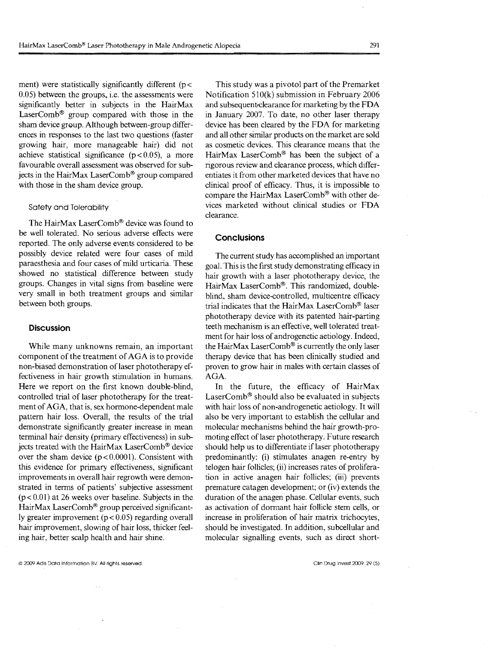ment) were statistically significantly different (p< 0.05) between the groups, i.e. the assessments were significantly better in subjects in the HairMax LaserComb® group compared with those in the sham device group. Although between-group differences in responses to the last two questions (faster growing hair, more manageable hair) did not achieve statistical significance  $(p < 0.05)$ , a more favourable overall assessment was observed for subjects in the HairMax LaserComb® group compared with those in the sham device group.

#### Safety and Tolerability

The HairMax LaserComb® device was found to be well tolerated. No serious adverse effects were reported. The only adverse events considered to be possibly device related were four cases of mild paraesthesia and four cases of mild urticaria. These showed no statistical difference between study groups. Changes in vital signs from baseline were very small in both treatment groups and similar between both groups.

#### **Discussion**

While many unknowns remain, an important component of the treatment of AGA is to provide non-biased demonstration of laser phototherapy effectiveness in hair growth stimulation in humans. Here we report on the first known double-blind, controlled trial of laser phototherapy for the treatment of AGA, that is, sex hormone-dependent male pattern hair loss. Overall, the results of the trial demonstrate significantly greater increase in mean terminal hair density (primary effectiveness) in subjects treated with the HairMax LaserComb® device over the sham device  $(p<0.0001)$ . Consistent with this evidence for primary effectiveness, significant improvements in overall hair regrowth were demonstrated in terms of patients' subjective assessment  $(p<0.01)$  at 26 weeks over baseline. Subjects in the HairMax LaserComb® group perceived significantly greater improvement (p < 0.05) regarding overall hair improvement, slowing of hair loss, thicker feeling hair, better scalp health and hair shine.

This study was a pivotol part of the Premarket Notification 5to(k) submission in February 2006 and subsequent clearance for marketing by the FDA in January 2007. To date, no other laser therapy device has been cleared by the FDA for marketing and all other similar products on the market are sold as cosmetic devices. This clearance means that the HairMax LaserComb® has been the subject of a rigorous review and clearance process, which differentiates it from other marketed devices that have no clinical proof of efficacy. Thus, it is impossible to compare the HairMax LaserComb® with other devices marketed without clinical studies or FDA clearance.

#### **Conclusions**

The current study has accomplished an important goal. This is the first study demonstrating efficacy in hair growth with a laser phototherapy device, the HairMax LaserComb®. This randomized, doubleblind, sham device-controlled, multicentre efficacy trial indicates that the HairMax LaserComb® laser phototherapy device with its patented hair-parting teeth mechanism is an effective, well tolerated treatment for hair loss of androgenetic aetiology. Indeed, the HairMax LaserComb® is currently the only laser therapy device that has been clinically studied and proven to grow hair in males with certain classes of AGA.

In the future, the efficacy of HairMax LaserComb® should also be evaluated in subjects with hair loss of non-androgenetic aetiology. It will also be very important to establish the cellular and molecular mechanisms behind the hair growth-promoting effect of laser phototherapy. Future research should help us to differentiate if laser phototherapy predominantly: (i) stimulates anagen re-entry by telogen hair follicles; (ii) increases rates of proliferation in active anagen hair follicles; (iii) prevents premature catagen development; or (iv) extends the duration of the anagen phase, Cellular events, such as activation of dormant hair follicle stem cells, or increase in proliferation of hair matrix trichocytes, should be investigated. In addition, subeellular and molecular signalling events, such as direct short-

© 2009 Ad's Data Information BY. All rights reserved,

Clin Drug Invest 2009: 29 (5)